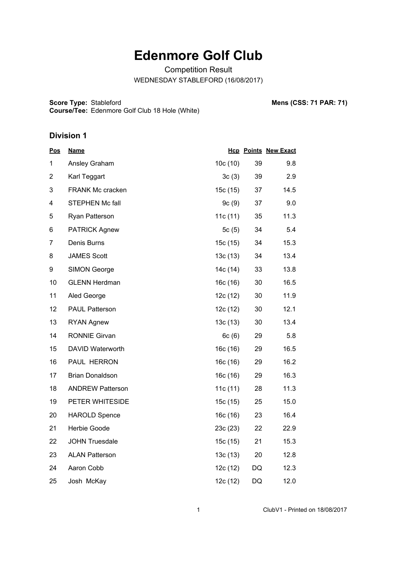## **Edenmore Golf Club**

Competition Result WEDNESDAY STABLEFORD (16/08/2017)

**Score Type: Course/Tee:** Stableford **Mens (CSS: 71 PAR: 71)** Edenmore Golf Club 18 Hole (White)

## **Division 1**

| <u>Pos</u>     | <u>Name</u>             |          |    | <b>Hcp Points New Exact</b> |
|----------------|-------------------------|----------|----|-----------------------------|
| 1              | Ansley Graham           | 10c(10)  | 39 | 9.8                         |
| $\overline{2}$ | Karl Teggart            | 3c(3)    | 39 | 2.9                         |
| 3              | <b>FRANK Mc cracken</b> | 15c (15) | 37 | 14.5                        |
| 4              | STEPHEN Mc fall         | 9c(9)    | 37 | 9.0                         |
| 5              | Ryan Patterson          | 11c (11) | 35 | 11.3                        |
| 6              | <b>PATRICK Agnew</b>    | 5c(5)    | 34 | 5.4                         |
| $\overline{7}$ | Denis Burns             | 15c (15) | 34 | 15.3                        |
| 8              | <b>JAMES Scott</b>      | 13c(13)  | 34 | 13.4                        |
| 9              | <b>SIMON George</b>     | 14c (14) | 33 | 13.8                        |
| 10             | <b>GLENN Herdman</b>    | 16c (16) | 30 | 16.5                        |
| 11             | Aled George             | 12c(12)  | 30 | 11.9                        |
| 12             | <b>PAUL Patterson</b>   | 12c(12)  | 30 | 12.1                        |
| 13             | <b>RYAN Agnew</b>       | 13c(13)  | 30 | 13.4                        |
| 14             | <b>RONNIE Girvan</b>    | 6c(6)    | 29 | 5.8                         |
| 15             | DAVID Waterworth        | 16c(16)  | 29 | 16.5                        |
| 16             | PAUL HERRON             | 16c (16) | 29 | 16.2                        |
| 17             | <b>Brian Donaldson</b>  | 16c (16) | 29 | 16.3                        |
| 18             | <b>ANDREW Patterson</b> | 11c(11)  | 28 | 11.3                        |
| 19             | PETER WHITESIDE         | 15c(15)  | 25 | 15.0                        |
| 20             | <b>HAROLD Spence</b>    | 16c(16)  | 23 | 16.4                        |
| 21             | Herbie Goode            | 23c (23) | 22 | 22.9                        |
| 22             | <b>JOHN Truesdale</b>   | 15c (15) | 21 | 15.3                        |
| 23             | <b>ALAN Patterson</b>   | 13c(13)  | 20 | 12.8                        |
| 24             | Aaron Cobb              | 12c (12) | DQ | 12.3                        |
| 25             | Josh McKay              | 12c (12) | DQ | 12.0                        |